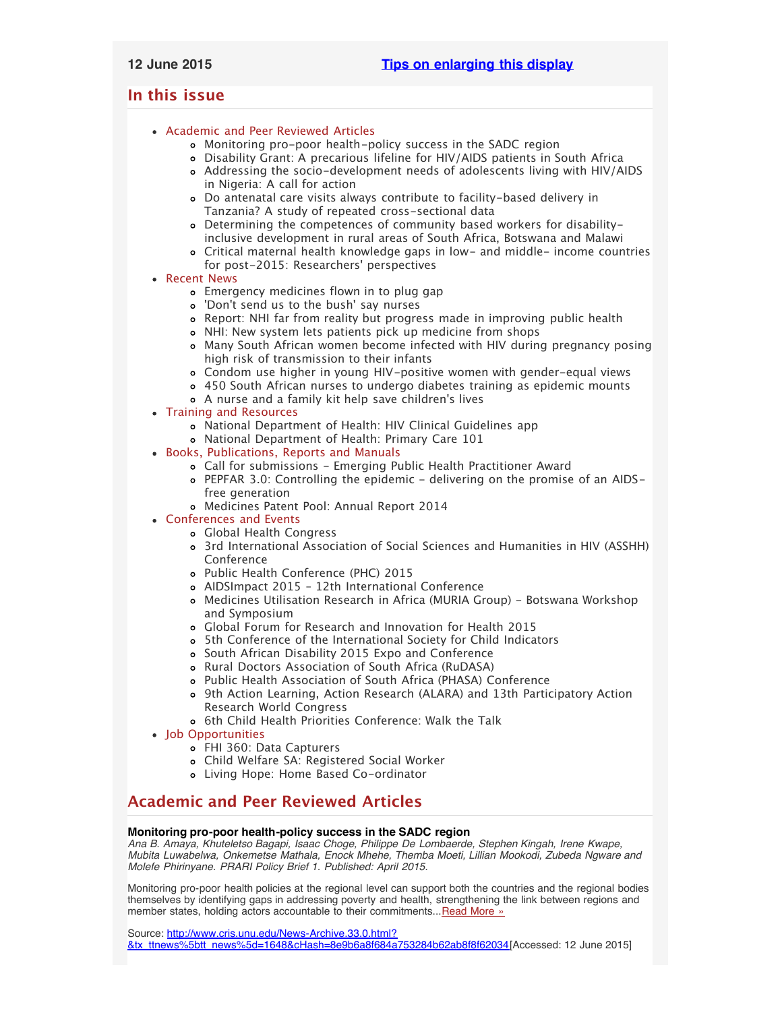# <span id="page-0-2"></span>**In this issue**

- [Academic and Peer Reviewed Articles](#page-0-0)
	- [Monitoring pro-poor health-policy success in the SADC region](#page-0-1)
	- [Disability Grant: A precarious lifeline for HIV/AIDS patients in South Africa](#page-1-0)
	- [Addressing the socio-development needs of adolescents living with HIV/AIDS](#page-1-1) [in Nigeria: A call for action](#page-1-1)
	- [Do antenatal care visits always contribute to facility-based delivery in](#page-1-2) [Tanzania? A study of repeated cross-sectional data](#page-1-2)
	- [Determining the competences of community based workers for disability](#page-1-3)[inclusive development in rural areas of South Africa, Botswana and Malawi](#page-1-3)
	- [Critical maternal health knowledge gaps in low- and middle- income countries](#page-1-4) [for post-2015: Researchers](#page-1-4)' perspectives

## [Recent News](#page-1-5)

- [Emergency medicines flown in to plug gap](#page-1-6)
- ['Don't send us to the bush' say nurses](#page-2-0)
- [Report: NHI far from reality but progress made in improving public health](#page-2-1)
- [NHI: New system lets patients pick up medicine from shops](#page-2-2)
- [Many South African women become infected with HIV during pregnancy posing](#page-2-3) [high risk of transmission to their infants](#page-2-3)
- [Condom use higher in young HIV-positive women with gender-equal views](#page-2-4)
- [450 South African nurses to undergo diabetes training as epidemic mounts](#page-2-5)
- [A nurse and a family kit help save children](#page-2-6)'s lives
- [Training and Resources](#page-2-7)
	- [National Department of Health: HIV Clinical Guidelines app](#page-3-0)
	- [National Department of Health: Primary Care 101](#page-3-1)
- [Books, Publications, Reports and Manuals](#page-3-2)
	- [Call for submissions Emerging Public Health Practitioner Award](#page-3-3)
	- [PEPFAR 3.0: Controlling the epidemic delivering on the promise of an AIDS](#page-3-4)[free generation](#page-3-4)
	- [Medicines Patent Pool: Annual Report 2014](#page-3-5)

# [Conferences and Events](#page-3-6)

- [Global Health Congress](#page-3-7)
- [3rd International Association of Social Sciences and Humanities in HIV \(ASSHH\)](#page-3-8) [Conference](#page-3-8)
- [Public Health Conference \(PHC\) 2015](#page-3-9)
- [AIDSImpact 2015 12th International Conference](#page-4-0)
- [Medicines Utilisation Research in Africa \(MURIA Group\) Botswana Workshop](#page-4-1) [and Symposium](#page-4-1)
- [Global Forum for Research and Innovation for Health 2015](#page-4-2)
- [5th Conference of the International Society for Child Indicators](#page-4-3)
- o [South African Disability 2015 Expo and Conference](#page-4-4)
- [Rural Doctors Association of South Africa \(RuDASA\)](#page-4-5)
- [Public Health Association of South Africa \(PHASA\) Conference](#page-4-6)
- [9th Action Learning, Action Research \(ALARA\) and 13th Participatory Action](#page-5-0) [Research World Congress](#page-5-0)
- o [6th Child Health Priorities Conference: Walk the Talk](#page-5-1)
- [Job Opportunities](#page-5-2)
	- [FHI 360: Data Capturers](#page-5-3)
	- [Child Welfare SA: Registered Social Worker](#page-5-4)
	- [Living Hope: Home Based Co-ordinator](#page-5-5)

# <span id="page-0-0"></span>**Academic and Peer Reviewed Articles**

## <span id="page-0-1"></span>**Monitoring pro-poor health-policy success in the SADC region**

*Ana B. Amaya, Khuteletso Bagapi, Isaac Choge, Philippe De Lombaerde, Stephen Kingah, Irene Kwape, Mubita Luwabelwa, Onkemetse Mathala, Enock Mhehe, Themba Moeti, Lillian Mookodi, Zubeda Ngware and Molefe Phirinyane. PRARI Policy Brief 1. Published: April 2015.*

Monitoring pro-poor health policies at the regional level can support both the countries and the regional bodies themselves by identifying gaps in addressing poverty and health, strengthening the link between regions and member states, holding actors accountable to their commitments... [Read More »](http://www.hst.org.za/publications/prari-policy-brief-monitoring-pro-poor-health-policy-success-sadc-region)

Source: [http://www.cris.unu.edu/News-Archive.33.0.html?](http://www.cris.unu.edu/News-Archive.33.0.html?&tx_ttnews%5btt_news%5d=1648&cHash=8e9b6a8f684a753284b62ab8f8f62034) [&tx\\_ttnews%5btt\\_news%5d=1648&cHash=8e9b6a8f684a753284b62ab8f8f62034](http://www.cris.unu.edu/News-Archive.33.0.html?&tx_ttnews%5btt_news%5d=1648&cHash=8e9b6a8f684a753284b62ab8f8f62034)[Accessed: 12 June 2015]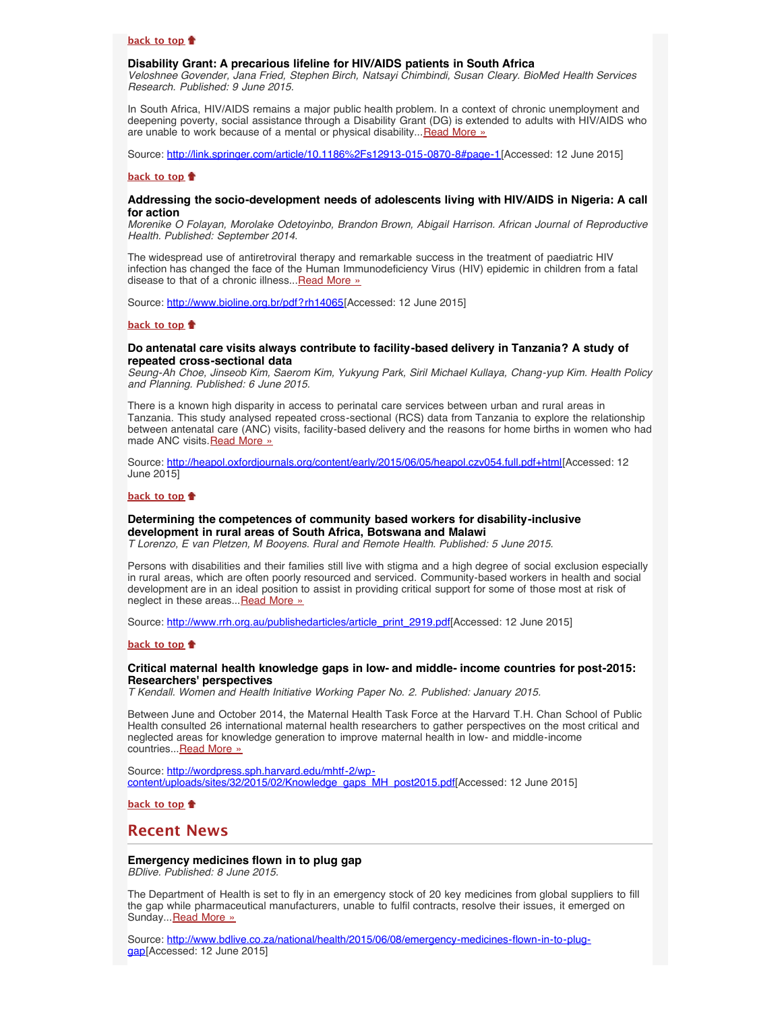### <span id="page-1-0"></span>**Disability Grant: A precarious lifeline for HIV/AIDS patients in South Africa**

*Veloshnee Govender, Jana Fried, Stephen Birch, Natsayi Chimbindi, Susan Cleary. BioMed Health Services Research. Published: 9 June 2015.*

In South Africa, HIV/AIDS remains a major public health problem. In a context of chronic unemployment and deepening poverty, social assistance through a Disability Grant (DG) is extended to adults with HIV/AIDS who are unable to work because of a mental or physical disability... [Read More »](http://link.springer.com/article/10.1186%2Fs12913-015-0870-8#page-1)

Source: [http://link.springer.com/article/10.1186%2Fs12913-015-0870-8#page-1\[](http://link.springer.com/article/10.1186%2Fs12913-015-0870-8#page-1)Accessed: 12 June 2015]

### **[back to top](#page-0-2)**

### <span id="page-1-1"></span>**Addressing the socio-development needs of adolescents living with HIV/AIDS in Nigeria: A call for action**

*Morenike O Folayan, Morolake Odetoyinbo, Brandon Brown, Abigail Harrison. African Journal of Reproductive Health. Published: September 2014.*

The widespread use of antiretroviral therapy and remarkable success in the treatment of paediatric HIV infection has changed the face of the Human Immunodeficiency Virus (HIV) epidemic in children from a fatal disease to that of a chronic illness... [Read More »](http://www.bioline.org.br/pdf?rh14065)

Source: [http://www.bioline.org.br/pdf?rh14065\[](http://www.bioline.org.br/pdf?rh14065)Accessed: 12 June 2015]

#### **[back to top](#page-0-2)**

## <span id="page-1-2"></span>**Do antenatal care visits always contribute to facility-based delivery in Tanzania? A study of repeated cross-sectional data**

*Seung-Ah Choe, Jinseob Kim, Saerom Kim, Yukyung Park, Siril Michael Kullaya, Chang-yup Kim. Health Policy and Planning. Published: 6 June 2015.*

There is a known high disparity in access to perinatal care services between urban and rural areas in Tanzania. This study analysed repeated cross-sectional (RCS) data from Tanzania to explore the relationship between antenatal care (ANC) visits, facility-based delivery and the reasons for home births in women who had made ANC visits. [Read More »](http://heapol.oxfordjournals.org/content/early/2015/06/05/heapol.czv054.full.pdf+html)

Source: [http://heapol.oxfordjournals.org/content/early/2015/06/05/heapol.czv054.full.pdf+html\[](http://heapol.oxfordjournals.org/content/early/2015/06/05/heapol.czv054.full.pdf+html)Accessed: 12 June 2015]

## **[back to top](#page-0-2)**

## <span id="page-1-3"></span>**Determining the competences of community based workers for disability-inclusive development in rural areas of South Africa, Botswana and Malawi**

*T Lorenzo, E van Pletzen, M Booyens. Rural and Remote Health. Published: 5 June 2015.*

Persons with disabilities and their families still live with stigma and a high degree of social exclusion especially in rural areas, which are often poorly resourced and serviced. Community-based workers in health and social development are in an ideal position to assist in providing critical support for some of those most at risk of neglect in these areas... [Read More »](http://www.rrh.org.au/publishedarticles/article_print_2919.pdf)

Source: [http://www.rrh.org.au/publishedarticles/article\\_print\\_2919.pdf\[](http://www.rrh.org.au/publishedarticles/article_print_2919.pdf)Accessed: 12 June 2015]

## **[back to top](#page-0-2)**

## <span id="page-1-4"></span>**Critical maternal health knowledge gaps in low- and middle- income countries for post-2015: Researchers' perspectives**

*T Kendall. Women and Health Initiative Working Paper No. 2. Published: January 2015.*

Between June and October 2014, the Maternal Health Task Force at the Harvard T.H. Chan School of Public Health consulted 26 international maternal health researchers to gather perspectives on the most critical and neglected areas for knowledge generation to improve maternal health in low- and middle-income countries... [Read More »](http://wordpress.sph.harvard.edu/mhtf-2/wp-content/uploads/sites/32/2015/02/Knowledge_gaps_MH_post2015.pdf)

Source: [http://wordpress.sph.harvard.edu/mhtf-2/wp](http://wordpress.sph.harvard.edu/mhtf-2/wp-content/uploads/sites/32/2015/02/Knowledge_gaps_MH_post2015.pdf)[content/uploads/sites/32/2015/02/Knowledge\\_gaps\\_MH\\_post2015.pdf\[](http://wordpress.sph.harvard.edu/mhtf-2/wp-content/uploads/sites/32/2015/02/Knowledge_gaps_MH_post2015.pdf)Accessed: 12 June 2015]

**[back to top](#page-0-2)**

# <span id="page-1-5"></span>**Recent News**

<span id="page-1-6"></span>**Emergency medicines flown in to plug gap** *BDlive. Published: 8 June 2015.*

The Department of Health is set to fly in an emergency stock of 20 key medicines from global suppliers to fill the gap while pharmaceutical manufacturers, unable to fulfil contracts, resolve their issues, it emerged on Sunday...[Read More »](http://www.hst.org.za/news/emergency-medicines-flown-plug-gap)

Source: [http://www.bdlive.co.za/national/health/2015/06/08/emergency-medicines-flown-in-to-plug](http://www.bdlive.co.za/national/health/2015/06/08/emergency-medicines-flown-in-to-plug-gap)[gap](http://www.bdlive.co.za/national/health/2015/06/08/emergency-medicines-flown-in-to-plug-gap)[Accessed: 12 June 2015]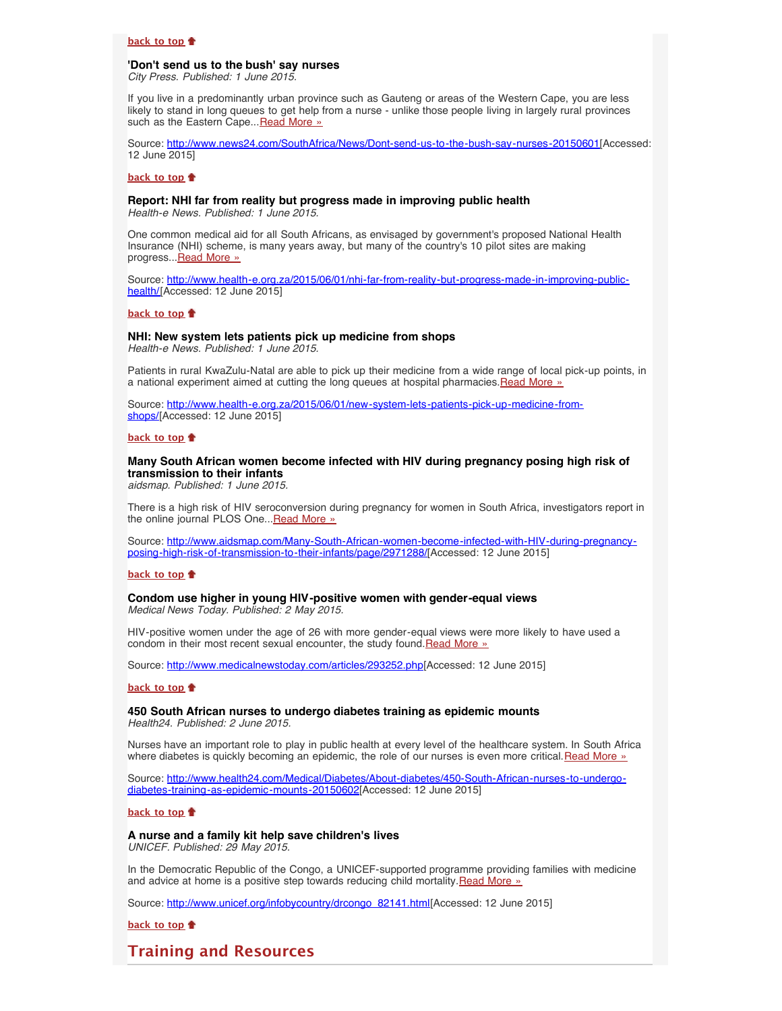## **[back to top](#page-0-2)**

# <span id="page-2-0"></span>**'Don't send us to the bush' say nurses**

*City Press. Published: 1 June 2015.*

If you live in a predominantly urban province such as Gauteng or areas of the Western Cape, you are less likely to stand in long queues to get help from a nurse - unlike those people living in largely rural provinces such as the Eastern Cape... [Read More »](http://www.hst.org.za/news/don-t-send-us-bush-say-nurses)

Source: [http://www.news24.com/SouthAfrica/News/Dont-send-us-to-the-bush-say-nurses-20150601\[](http://www.news24.com/SouthAfrica/News/Dont-send-us-to-the-bush-say-nurses-20150601)Accessed: 12 June 2015]

#### **[back to top](#page-0-2)**

#### <span id="page-2-1"></span>**Report: NHI far from reality but progress made in improving public health**

*Health-e News. Published: 1 June 2015.*

One common medical aid for all South Africans, as envisaged by government's proposed National Health Insurance (NHI) scheme, is many years away, but many of the country's 10 pilot sites are making progress... [Read More »](http://www.hst.org.za/news/nhi-far-reality-progress-made-improving-public-health)

Source: [http://www.health-e.org.za/2015/06/01/nhi-far-from-reality-but-progress-made-in-improving-public](http://www.health-e.org.za/2015/06/01/nhi-far-from-reality-but-progress-made-in-improving-public-health/)[health/\[](http://www.health-e.org.za/2015/06/01/nhi-far-from-reality-but-progress-made-in-improving-public-health/)Accessed: 12 June 2015]

## **[back to top](#page-0-2)**

### <span id="page-2-2"></span>**NHI: New system lets patients pick up medicine from shops** *Health-e News. Published: 1 June 2015.*

Patients in rural KwaZulu-Natal are able to pick up their medicine from a wide range of local pick-up points, in a national experiment aimed at cutting the long queues at hospital pharmacies.[Read More »](http://www.hst.org.za/news/nhi-new-system-lets-patients-pick-medicine-shops)

Source: [http://www.health-e.org.za/2015/06/01/new-system-lets-patients-pick-up-medicine-from](http://www.health-e.org.za/2015/06/01/new-system-lets-patients-pick-up-medicine-from-shops/)[shops/\[](http://www.health-e.org.za/2015/06/01/new-system-lets-patients-pick-up-medicine-from-shops/)Accessed: 12 June 2015]

### **[back to top](#page-0-2)**

## <span id="page-2-3"></span>**Many South African women become infected with HIV during pregnancy posing high risk of transmission to their infants**

*aidsmap. Published: 1 June 2015.*

There is a high risk of HIV seroconversion during pregnancy for women in South Africa, investigators report in the online journal PLOS One... [Read More »](http://www.hst.org.za/news/many-south-african-women-become-infected-hiv-during-pregnancy-posing-high-risk-transmission-the)

Source: [http://www.aidsmap.com/Many-South-African-women-become-infected-with-HIV-during-pregnancy](http://www.aidsmap.com/Many-South-African-women-become-infected-with-HIV-during-pregnancy-posing-high-risk-of-transmission-to-their-infants/page/2971288/)[posing-high-risk-of-transmission-to-their-infants/page/2971288/\[](http://www.aidsmap.com/Many-South-African-women-become-infected-with-HIV-during-pregnancy-posing-high-risk-of-transmission-to-their-infants/page/2971288/)Accessed: 12 June 2015]

#### **[back to top](#page-0-2)**

<span id="page-2-4"></span>**Condom use higher in young HIV-positive women with gender-equal views** *Medical News Today. Published: 2 May 2015.*

HIV-positive women under the age of 26 with more gender-equal views were more likely to have used a condom in their most recent sexual encounter, the study found. [Read More »](http://www.medicalnewstoday.com/articles/293252.php)

Source: [http://www.medicalnewstoday.com/articles/293252.php\[](http://www.medicalnewstoday.com/articles/293252.php)Accessed: 12 June 2015]

## **[back to top](#page-0-2)**

# <span id="page-2-5"></span>**450 South African nurses to undergo diabetes training as epidemic mounts**

*Health24. Published: 2 June 2015.*

Nurses have an important role to play in public health at every level of the healthcare system. In South Africa where diabetes is quickly becoming an epidemic, the role of our nurses is even more critical. [Read More »](http://www.hst.org.za/news/450-south-african-nurses-undergo-diabetes-training-epidemic-mounts)

Source: [http://www.health24.com/Medical/Diabetes/About-diabetes/450-South-African-nurses-to-undergo](http://www.health24.com/Medical/Diabetes/About-diabetes/450-South-African-nurses-to-undergo-diabetes-training-as-epidemic-mounts-20150602)[diabetes-training-as-epidemic-mounts-20150602\[](http://www.health24.com/Medical/Diabetes/About-diabetes/450-South-African-nurses-to-undergo-diabetes-training-as-epidemic-mounts-20150602)Accessed: 12 June 2015]

## **[back to top](#page-0-2)**

<span id="page-2-6"></span>**A nurse and a family kit help save children's lives** *UNICEF. Published: 29 May 2015.*

In the Democratic Republic of the Congo, a UNICEF-supported programme providing families with medicine and advice at home is a positive step towards reducing child mortality. [Read More »](http://www.hst.org.za/news/nurse-and-family-kit-help-save-children-s-lives)

Source: [http://www.unicef.org/infobycountry/drcongo\\_82141.html](http://www.unicef.org/infobycountry/drcongo_82141.html?utm_source=unicef_news&utm_medium=rss&utm_campaign=rss_link)[Accessed: 12 June 2015]

**[back to top](#page-0-2)**

# <span id="page-2-7"></span>**Training and Resources**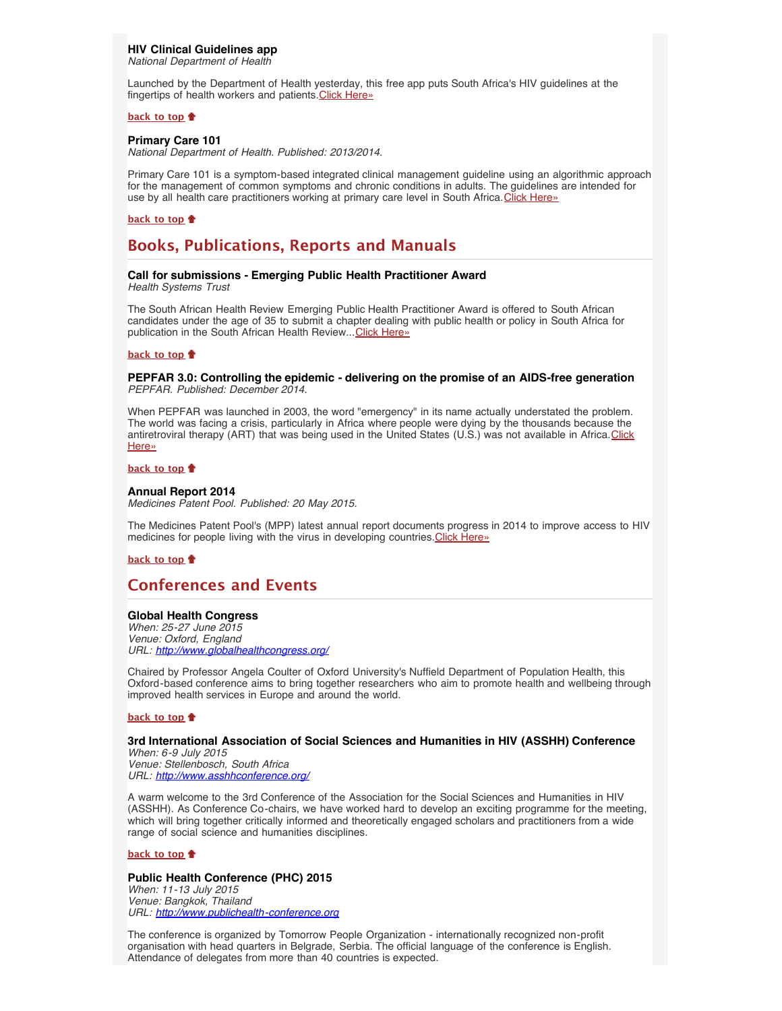## <span id="page-3-0"></span>**HIV Clinical Guidelines app**

*National Department of Health*

Launched by the Department of Health yesterday, this free app puts South Africa's HIV guidelines at the fingertips of health workers and patients. [Click Here»](http://www.hst.org.za/news/resource-hiv-clinical-guidelines-app)

## **[back to top](#page-0-2)**

## <span id="page-3-1"></span>**Primary Care 101**

*National Department of Health. Published: 2013/2014.*

Primary Care 101 is a symptom-based integrated clinical management guideline using an algorithmic approach for the management of common symptoms and chronic conditions in adults. The guidelines are intended for use by all health care practitioners working at primary care level in South Africa. [Click Here»](http://www.hst.org.za/publications/primary-health-care-101)

## **[back to top](#page-0-2)**

# <span id="page-3-2"></span>**Books, Publications, Reports and Manuals**

# <span id="page-3-3"></span>**Call for submissions - Emerging Public Health Practitioner Award**

*Health Systems Trust*

The South African Health Review Emerging Public Health Practitioner Award is offered to South African candidates under the age of 35 to submit a chapter dealing with public health or policy in South Africa for publication in the South African Health Review... [Click Here»](http://www.hst.org.za/news/call-submissions-emerging-public-health-practitioner-award)

#### **[back to top](#page-0-2)**

<span id="page-3-4"></span>**PEPFAR 3.0: Controlling the epidemic - delivering on the promise of an AIDS-free generation** *PEPFAR. Published: December 2014.*

When PEPFAR was launched in 2003, the word "emergency" in its name actually understated the problem. The world was facing a crisis, particularly in Africa where people were dying by the thousands because the antiretroviral therapy (ART) that was being used in the United States (U.S.) was not available in Africa. [Click](http://www.pepfar.gov/documents/organization/234744.pdf) [Here»](http://www.pepfar.gov/documents/organization/234744.pdf)

## **[back to top](#page-0-2)**

#### <span id="page-3-5"></span>**Annual Report 2014**

*Medicines Patent Pool. Published: 20 May 2015.*

The Medicines Patent Pool's (MPP) latest annual report documents progress in 2014 to improve access to HIV medicines for people living with the virus in developing countries. [Click Here»](http://www.medicinespatentpool.org/wp-content/uploads/MPP_Annual_Report_2014_web.pdf)

## **[back to top](#page-0-2)**

# <span id="page-3-6"></span>**Conferences and Events**

#### <span id="page-3-7"></span>**Global Health Congress**

*When: 25-27 June 2015 Venue: Oxford, England URL: <http://www.globalhealthcongress.org/>*

Chaired by Professor Angela Coulter of Oxford University's Nuffield Department of Population Health, this Oxford-based conference aims to bring together researchers who aim to promote health and wellbeing through improved health services in Europe and around the world.

## **[back to top](#page-0-2)**

#### <span id="page-3-8"></span>**3rd International Association of Social Sciences and Humanities in HIV (ASSHH) Conference** *When: 6-9 July 2015*

*Venue: Stellenbosch, South Africa URL: <http://www.asshhconference.org/>*

A warm welcome to the 3rd Conference of the Association for the Social Sciences and Humanities in HIV (ASSHH). As Conference Co-chairs, we have worked hard to develop an exciting programme for the meeting, which will bring together critically informed and theoretically engaged scholars and practitioners from a wide range of social science and humanities disciplines.

### **[back to top](#page-0-2)**

## <span id="page-3-9"></span>**Public Health Conference (PHC) 2015**

*When: 11-13 July 2015 Venue: Bangkok, Thailand URL: [http://www.publichealth-conference.org](http://www.publichealth-conference.org/)*

The conference is organized by Tomorrow People Organization - internationally recognized non-profit organisation with head quarters in Belgrade, Serbia. The official language of the conference is English. Attendance of delegates from more than 40 countries is expected.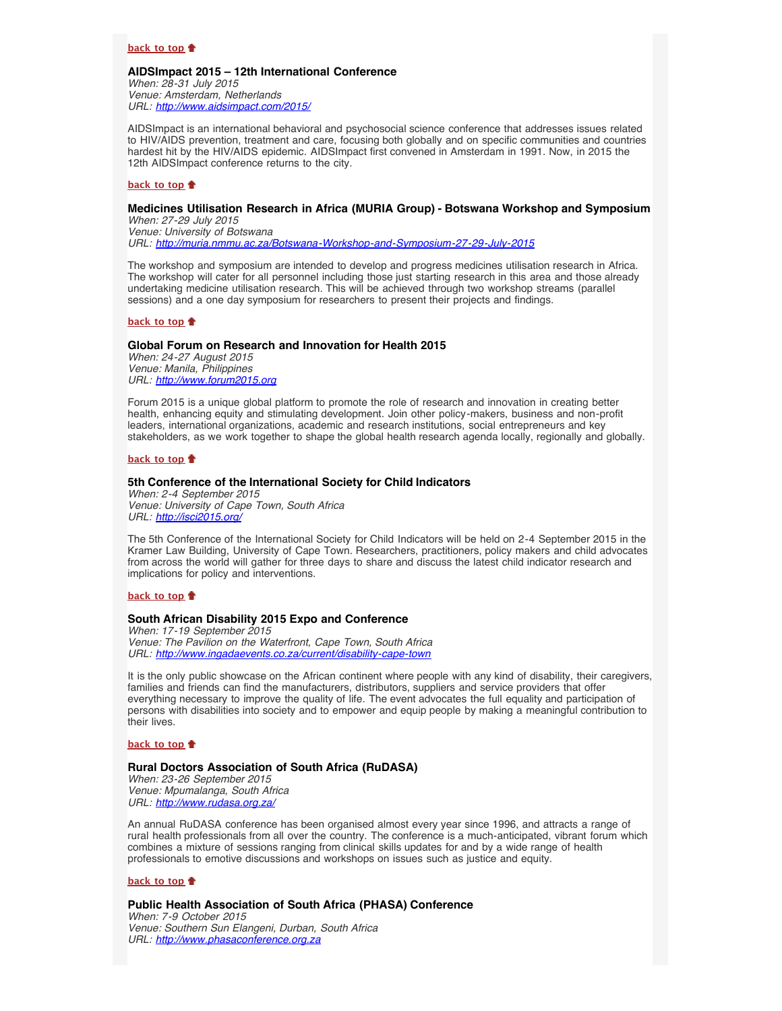## **[back to top](#page-0-2)**

<span id="page-4-0"></span>**AIDSImpact 2015 – 12th International Conference** *When: 28-31 July 2015 Venue: Amsterdam, Netherlands URL: <http://www.aidsimpact.com/2015/>*

AIDSImpact is an international behavioral and psychosocial science conference that addresses issues related to HIV/AIDS prevention, treatment and care, focusing both globally and on specific communities and countries hardest hit by the HIV/AIDS epidemic. AIDSImpact first convened in Amsterdam in 1991. Now, in 2015 the 12th AIDSImpact conference returns to the city.

## **[back to top](#page-0-2)**

# <span id="page-4-1"></span>**Medicines Utilisation Research in Africa (MURIA Group) - Botswana Workshop and Symposium**

*When: 27-29 July 2015 Venue: University of Botswana URL: <http://muria.nmmu.ac.za/Botswana-Workshop-and-Symposium-27-29-July-2015>*

The workshop and symposium are intended to develop and progress medicines utilisation research in Africa. The workshop will cater for all personnel including those just starting research in this area and those already undertaking medicine utilisation research. This will be achieved through two workshop streams (parallel sessions) and a one day symposium for researchers to present their projects and findings.

#### **[back to top](#page-0-2)**

#### <span id="page-4-2"></span>**Global Forum on Research and Innovation for Health 2015**

*When: 24-27 August 2015 Venue: Manila, Philippines URL: [http://www.forum2015.org](http://www.forum2015.org/)*

Forum 2015 is a unique global platform to promote the role of research and innovation in creating better health, enhancing equity and stimulating development. Join other policy-makers, business and non-profit leaders, international organizations, academic and research institutions, social entrepreneurs and key stakeholders, as we work together to shape the global health research agenda locally, regionally and globally.

#### **[back to top](#page-0-2)**

## <span id="page-4-3"></span>**5th Conference of the International Society for Child Indicators**

*When: 2-4 September 2015 Venue: University of Cape Town, South Africa URL: <http://isci2015.org/>*

The 5th Conference of the International Society for Child Indicators will be held on 2-4 September 2015 in the Kramer Law Building, University of Cape Town. Researchers, practitioners, policy makers and child advocates from across the world will gather for three days to share and discuss the latest child indicator research and implications for policy and interventions.

## **[back to top](#page-0-2)**

#### <span id="page-4-4"></span>**South African Disability 2015 Expo and Conference**

*When: 17-19 September 2015 Venue: The Pavilion on the Waterfront, Cape Town, South Africa URL: <http://www.ingadaevents.co.za/current/disability-cape-town>*

It is the only public showcase on the African continent where people with any kind of disability, their caregivers, families and friends can find the manufacturers, distributors, suppliers and service providers that offer everything necessary to improve the quality of life. The event advocates the full equality and participation of persons with disabilities into society and to empower and equip people by making a meaningful contribution to their lives.

### **[back to top](#page-0-2)**

## <span id="page-4-5"></span>**Rural Doctors Association of South Africa (RuDASA)**

*When: 23-26 September 2015 Venue: Mpumalanga, South Africa URL: <http://www.rudasa.org.za/>*

An annual RuDASA conference has been organised almost every year since 1996, and attracts a range of rural health professionals from all over the country. The conference is a much-anticipated, vibrant forum which combines a mixture of sessions ranging from clinical skills updates for and by a wide range of health professionals to emotive discussions and workshops on issues such as justice and equity.

#### **[back to top](#page-0-2)**

<span id="page-4-6"></span>**Public Health Association of South Africa (PHASA) Conference** *When: 7-9 October 2015 Venue: Southern Sun Elangeni, Durban, South Africa URL: [http://www.phasaconference.org.za](http://www.phasaconference.org.za/)*